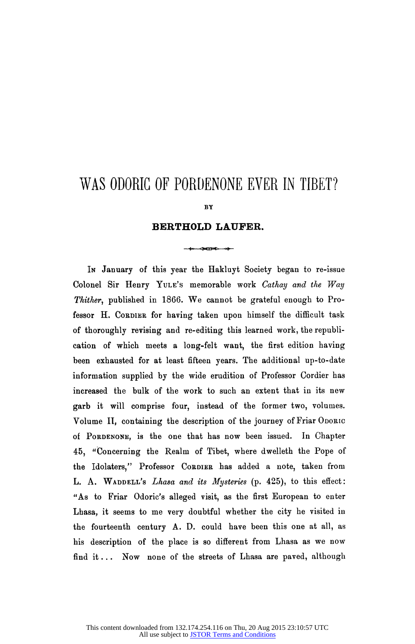## **WAS ODORIC OF POR[)ENONE EVER IN TIBET?**

**BY** 

## **BERTHOLD LAUFER.**

 $\begin{picture}(150,10) \put(0,0){\line(1,0){10}} \put(10,0){\line(1,0){10}} \put(10,0){\line(1,0){10}} \put(10,0){\line(1,0){10}} \put(10,0){\line(1,0){10}} \put(10,0){\line(1,0){10}} \put(10,0){\line(1,0){10}} \put(10,0){\line(1,0){10}} \put(10,0){\line(1,0){10}} \put(10,0){\line(1,0){10}} \put(10,0){\line(1,0){10}} \put(10,0){\line($ 

**IN January of this year the Hakluyt Society began to re-issue Colonel Sir Henry YULE'S memorable work Cathay and the Way Thither, published in 1866. We cannot be grateful enough to Professor H. CORDIER for having taken upon himself the difficult task of thoroughly revising and re-editing this learned work, the republi**cation of which meets a long-felt want, the first edition having **been exhausted for at least fifteen years. The additional up-to-date information supplied by the wide erudition of Professor Cordier has increased the bulk of the work to such an extent that in its new garb it will comprise four, instead of the former two, volumes. Volume II, containing the description of the journey of Friar ODORIC of PORDENONE, is the one that has now been issued. In Chapter 45, "Concerning the Realm of Tibet, where dwelleth the Pope of the Idolaters," Professor CORDIER has added a note, taken from**  L. A. WADDELL's *Lhasa and its Mysteries* (p. 425), to this effect: **"As to Friar Odoric's alleged visit, as the first European to enter Lhasa, it seems to me very doubtful whether the city he visited in the fourteenth century A. D. could have been this one at all, as his description of the place is so different from Lhasa as we now find it... Now none of the streets of Lhasa are paved, although**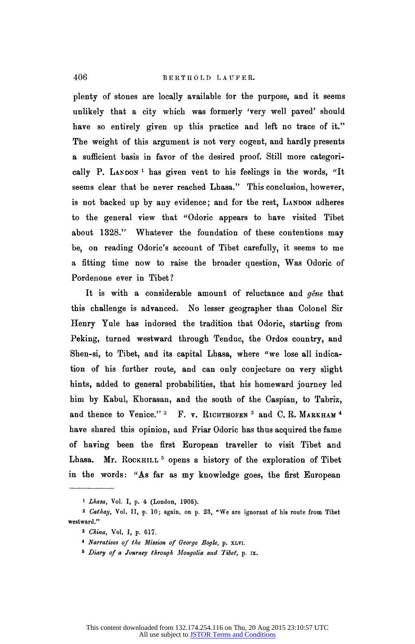**plenty of stones are locally available for the purpose, and it seems unlikely that a city which was formerly 'very well paved' should have so entirely given up this practice and left no trace of it." The weight of this argument is not very cogent, and hardly presents a sufficient basis in favor of the desired proof. Still more categorically P. LAN DON 1 has given vent to his feelings in the words, "It seems clear that he never reached Lhasa." This conclusion, however, is not backed up by any evidence; and for the rest, LANDON adheres to the general view that "Odoric appears to have visited Tibet about 1328." Whatever the foundation of these contentions may be, on reading Odoric's account of Tibet carefully, it seems to me a fitting time now to raise the broader question, Was Odoric of Pordenone ever in Tibet?** 

It is with a considerable amount of reluctance and gene that **this challenge is advanced. No lesser geographer than Colonel Sir Henry Yule has indorsed the tradition that Odoric, starting from Peking, turned westward through Tenduc, the Ordos country, and Shen-si, to Tibet, and its capital Lhasa, where "we lose all indication of his further route, and can only conjecture on very slight hints, added to general probabilities, that his homeward journey led him by Kabul, Khorasan, and the south of the Caspian, to Tabriz, and thence to Venice." 2 F. v. RICHTHOFEN 3 and C. R. MARKHAM <sup>4</sup> have shared this opinion, and Friar Odoric has thus acquired the fame of having been the first European traveller to visit Tibet and**  Lhasa. Mr. ROCKHILL<sup>5</sup> opens a history of the exploration of Tibet **in the words: "As far as my knowledge goes, the first European** 

**t Lhasa, Vol. I, p. 4 (London, 1905).** 

**<sup>2</sup>Cathay, Vol. II, p. 10; again, on p. 23, "We are ignorant of his route from Tibet westward."** 

**<sup>3</sup> China, Vol. I, p. 617.** 

**<sup>4</sup> Narratives of the Mission of George Bogle, p. XLVI.** 

**<sup>5</sup> Diary of a Journey through Mongolia and T`ibet, p. ix.**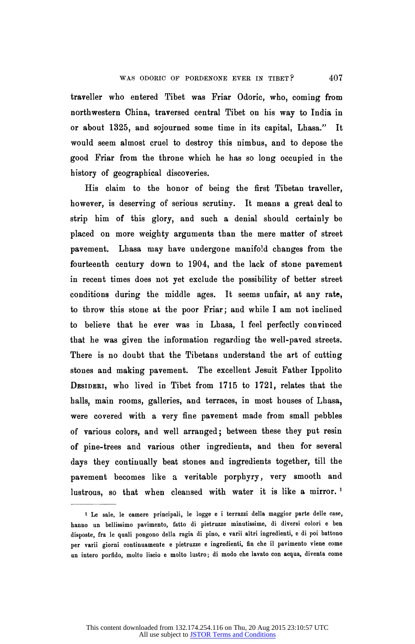**traveller who entered Tibet was Friar Odoric, who, coming from northwestern China, traversed central Tibet on his way to India in or about 1325, and sojourned some time in its capital, Lhasa." It would seem almost cruel to destroy this nimbus, and to depose the good Friar from the throne which he has so long occupied in the history of geographical discoveries.** 

**His claim to the honor of being the first Tibetan traveller, however, is deserving of serious scrutiny. It means a great deal to strip him of this glory, and such a denial should certainly be placed on more weighty arguments than the mere matter of street pavement. Lhasa may have undergone manifold changes from the fourteenth century down to 1904, and the lack of stone pavement in recent times does not yet exclude the possibility of better street conditions during the middle ages. It seems unfair, at any rate, to throw this stone at the poor Friar; and while I am not inclined to believe that he ever was in Lhasa, I feel perfectly convinced that he was given the information regarding the well-paved streets. There is no doubt that the Tibetans understand the art of cutting stones and making pavement. The excellent Jesuit Father Ippolito DESIDERI, who lived in Tibet from 1715 to 1721, relates that the halls, main rooms, galleries, and terraces, in most houses of Lhasa, were covered with a very fine pavement made from small pebbles of various colors, and well arranged; between these they put resin of pine-trees and various other ingredients, and then for several days they continually beat stones and ingredients together, till the pavement becomes like a veritable porphyry, very smooth and**  lustrous, so that when cleansed with water it is like a mirror.<sup>1</sup>

**<sup>1</sup>Le sale, le camere principali, le logge e i terrazzi della maggior parte delle case, hanno un bellissimo pavimento, fatto di pietruzze minutissime, di diversi colori e ben disposte, fra le quali pongono della ragia di pino, e varii altri ingredienti, e di poi battono per varii giorni continuamente e pietruzze e ingredienti, fin che il pavimento viene come an intero porfido, molto liscio e molto lustro; di modo che lavato con acqua, diventa come**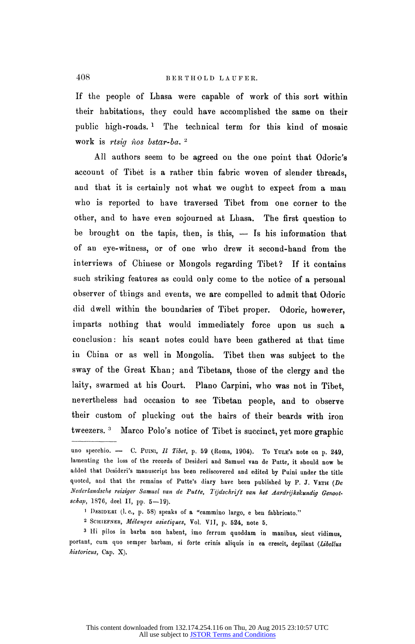**If the people of Lhasa were capable of work of this sort within their habitations, they could have accomplished the same on their public high-roads. 1 The technical term for this kind of mosaic**  work is *rtsig nos bstar-ba.*<sup>2</sup>

All authors seem to be agreed on the one point that Odoric's **account of Tibet is a rather thin fabric woven of slender threads, and that it is certainly not what we ought to expect from a man who is reported to have traversed Tibet from one corner to the other, and to have even sojourned at Lhasa. The first question to be brought on the tapis, then, is this, - Is his information that of au eye-witness, or of one who drew it second-hand from the interviews of Chinese or Mongols regarding Tibet? If it contains such striking features as could only come to the notice of a personal observer of tbings and events, we are compelled to admit that Odoric**  did dwell within the boundaries of Tibet proper. Odoric, however, **imparts nothing that would immediately force upon us such a conclusion: his scant notes could have been gathered at that time in China or as well in Mongolia. Tibet then was subject to the sway of the Great Khan; and Tibetans, those of the clergy and the laity, swarmed at his Court. Plano Carpini, who was not in Tibet, nevertheless had occasion to see Tibetan people, and to observe their custom of plucking out the hairs of their beards with iron tweezers. 3 Marco Polo's notice of Tibet is succinct, yet more graphic** 

1 I)ESIDERI (l. c., p. 58) speaks of a "cammino largo, e ben fabbricato."

<sup>2</sup> SCHIEFNER, *Mélanges asiatiques*, Vol. VII, p. 524, note 5.

**<sup>3</sup>Ili pilos in barba non habent, imo ferrum quoddam in manibus, sicut vidimus,**  portant, cum quo semper barbam, si forte crinis aliquis in ea crescit, depilant (Libellus **historicus, Cap. X).** 

**uno specchio. - C. PUIN1, 11 Tibet, p. 59 (Roma, 1904). To YULE'S note on p. 249, lamenting the loss of the records of Desideri and Samuel van de Pntte, it should now be added that Desideri's manuscript has been rediscovered and edited by Puini under the title**  quoted, and that the remains of Putte's diary have been published by P. J. VETH (De Nederlandsche reiziger Samuel van de Putte, Tijdschrift van het Aardrijkskundig Genootschap, 1876, deel II, pp. 5-19).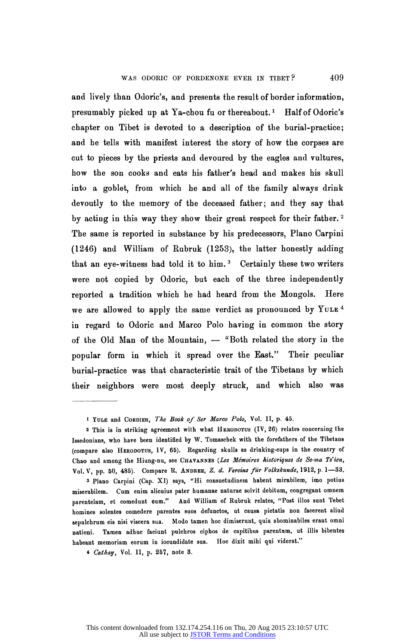**and lively than Odoric's, and presents the result of border information, presumably picked up at Ya-chou fu or thereabout. ' Half of Odoric's chapter on Tibet is devoted to a description of the burial-practice; and he tells with manifest interest the story of how the corpses are cut to pieces by the priests and devoured by the eagles and vultures, how the son cooks and eats his father's head and makes his skull into a goblet, from which he and all of the family always drink devoutly to the memory of the deceased father; and they say that by acting in this way they show their great respect for their father. <sup>2</sup> The same is reported in substance by his predecessors, Plano Carpini (1246) and William of Rubruk (1253), the latter honestly adding that an eye-witness had told it to him. 3 Certainly these two writers were not copied by Odoric, but each of the three independently reported a tradition which he had heard from the Mongols. Here**  we are allowed to apply the same verdict as pronounced by YULE<sup>4</sup> **in regard to Odoric and Marco Polo having in common the story of the Old Man of the Mountain, - "Both related the story in the popular form in which it spread over the East." Their peculiar burial-practice was that characteristic trait of the Tibetans by which their neighbors were most deeply struck, and which also was** 

**<sup>1</sup> YULE and CORDIER, 'Ihe Book of Ser Marco Polo, Vol. II, p. 45.** 

**<sup>2</sup> This is in striking agreement with what HERODOTUS (IV, 26) relates concerning the**  Issedonians, who have been identified by W. Tomaschek with the forefathers of the Tibetans **(compare also HERODOTUS, IV, 65). Regarding skulls as drinking-cups in the country of**  Chao and among the Hiung-nu, see CHAVANNES (Les Mémoires historiques de Se-ma Ts<sup>t</sup>ien, Vol. V, pp. 50, 485). Compare R. ANDREE, Z. d. Vereins für Volkskunde, 1912, p. 1-33.

**<sup>3</sup> Plano Carpini (Cap. XI) says, "Hi consuetudinein habent mirabilem, imo potius miserabilem. Cum enim alicuius pater humanae naturae solvit debitum, congregant omnem parentelam, et comedunt eum." And William of Rubruk relates, "Post illos aunt Tebet homines solentes comedere parentes suos defunctos, ut causa pietatis non facerent aliud sepulchrum eis nisi viscera sua. Modo tamen hoc dimiserunt, quia abominabiles erant omni**  nationi. Tamen adhuc faciunt pulchros ciphos de capitibus parentum, ut illis bibentes **habeant memoriam eorum in iocundidate sua. Hoc dixit mihi qui viderat."** 

**<sup>4</sup>Cathay, Vol. II, p. 257, note 3.**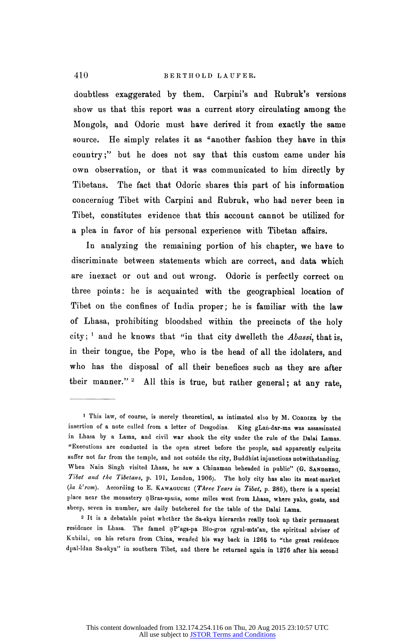**doubtless exaggerated by them. Carpini's and Rubruk's versions show us that this report was a current story circulating among the Alongols, and Odoric must have derived it from exactly the same**  source. He simply relates it as "another fashion they have in this **country ;" but he does not say that this custom came under his own observation, or that it was communicated to him directly by Tibetans. The fact that Odoric shares this part of his information concerniug Tibet with Carpini and Rubruk, who had never been in Tibet, constitutes evidence that this account cannot be utilized for a plea in favor of his personal experience with Tibetan affairs.** 

**In analyzing the remaining portion of his chapter, we have to discriminate between statements which are correct, and data which are inexact or out and out wrong. Odoric is perfectly correct on three points: he is acquainted with the geographical location of Tibet on the confines of India proper; he is familiar with the law of Lhasa, prohibiting bloodshed within the precincts of the holy city; l and he knows that "in that city dwelleth the Abassi, that is, in their tongue, the Pope, who is the head of all the idolaters, and who has the disposal of all their benefices sueb as they are after their manner." 2 All this is true, but rather general; at any rate,** 

**<sup>2</sup>It is a debatable point whether the Sa-skya bierarchs really took up their permanent residence in Lhasa. The famed aP'ags-pa Blo-gros rgyal-mts'an, the spiritual adviser of Kubilai, on his return from China, wended his way back in 1265 to "the great residence dpal-ldan Sa-skya" in southern Tibet, and there he returned again in 1276 after his second** 

**<sup>1</sup>This law, of course, is merely theoretical, as intimated also by M. CORDIER by the**  insertion of a note culled from a letter of Desgodins. King gLan-dar-ma was assassinated **in Lhasa by a Lama, and civil war shook the city under the rule of the Dalai Lamas. "Executions are conducted in the open street before the people, and apparently culprits**  suffer not far from the temple, and not outside the city, Buddhist injunctions notwithstanding. When Nain Singh visited Lhasa, he saw a Chinaman beheaded in public" (G. SANDBERG, **Tibet and the i'zbetans, p. 191, London, 1906). The holy city has also its meat-market**  (Sa k<sup>-</sup>rom). According to E. KAWAGUCHI (Three Years in Tibet, p. 286), there is a special **place near the monastery 4Bras-spuhs, some miles west from Lhasa, where yaks, goats, and sheep, seven in number, are daily butchered for the table of the Dalai Lama.**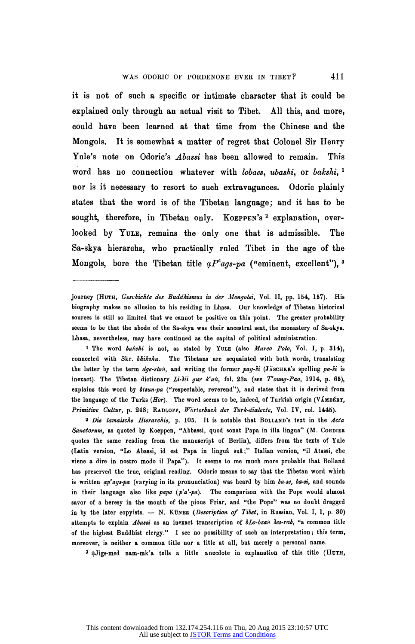**it is not of such a specific or intimate character that it could be explained only through an actual visit to Tibet. All this, and more, could have been learned at that time from the Chinese and the Mongols. It is somewhat a matter of regret that Colonel Sir Henry Yule's note on Odoric's Abassi has been allowed to remain. This**  word has no connection whatever with lobaes, ubashi, or bakshi, <sup>1</sup> **nor is it necessary to resort to such extravagances. Odoric plainly states that the word is of the Tibetan language; and it has to be**  sought, therefore, in Tibetan only. KOEPPEN's<sup>2</sup> explanation, over**looked by YULE, remains the only one that is admissible. The Sa-skya hierarchs, who practically ruled Tibet in the age of the**  Mongols, bore the Tibetan title  $aP^cags-pa$  ("eminent, excellent"),  $^3$ 

**l The word bakski is not, as stated by YULE (also Marco Polo, Vol. 1, p. 314), connected with Skr. bhikshu. The Tibetans are acquainted with both words, translating**  the latter by the term *dge-slon*, and writing the former pag-3i (JASCHKE's spelling pa-3i is inexact). The Tibetan dictionary Li-lii gur k'an, fol. 23a (see T'oung-Pao, 1914, p. 65), explains this word by *bisun-pa* ("respectable, reverend"), and states that it is derived from the language of the Turks (*Hor*). The word seems to be, indeed, of Turkish origin (VámBÉRY, Primitive Cultur, p. 248; RADLOFF, Wörterbuch der Türk-dialecte, Vol. IV, col. 1445).

2 *Die lamaische Hierarchie*, p. 105. It is notable that BOLLAND's text in the Acta Sanctorum, as quoted by Koeppen, "Abbassi, quod sonat Papa in illa lingua" (M. CORDIER **quotes the same reading from the manuscript of Berlin), differs from the texts of Yule (Latin version, "Lo Abassi, id est Papa in lingua suh;" Italian version, "il Atassi, che viene a dire in nostro modo il Papa"). It seems to me much more probable that Bolland has preserved the true, original reading. Odoric means to say that the Tibetan word which is written qp'ags-pa (varying in its pronunciation) was heard by him ba-se, ba-si, and sounds**  in their language also like papa (p'a'-pa). The comparison with the Pope would almost **savor of a heresy in the mouth of the pious Friar, and "the Pope" was no doubt dragged**  in by the later copyists. - N. KUNER (Description of Tibet, in Russian, Vol. I, 1, p. 30) attempts to explain *Abassi* as an inexact transcription of bLo-bzan šes-rab, "a common title **of the highest Buddhist clergy." I see no possibility of such an interpretation; this term, moreover, is neither a common title nor a title at all, but merely a personal name.** 

**3 aJigs-med nam-mk'a tells a little anecdote in explanation of this title (HUTH,** 

**journey (HUTH, Geschichte des Buddhismus in der Mongolei, Vol. II, pp. 154, 157). His biography makes no allusion to his residing in Lhasa. Our knowledge of Tibetan historical sources is still so limited that we cannot be positive on this point. The greater probability seems to be that the abode of the Sa-skya was their ancestral seat, the monastery of Sa-skya. Lhasa, nevertheless, may have continued as the capital of political administration.**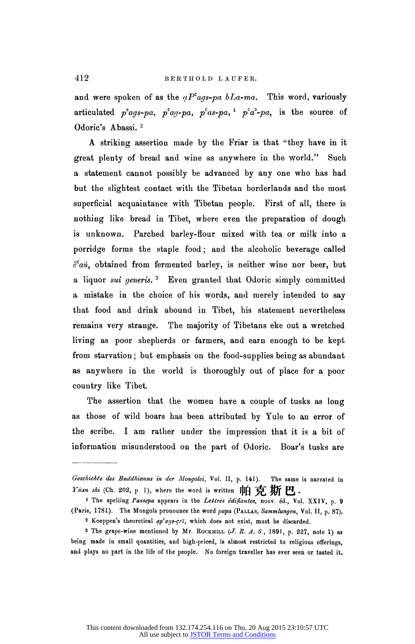and were spoken of as the  $aP^{\text{c}}ags-pa$   $bLa-ma$ . This word, variously articulated  $p^c_0$ ags-pa,  $p^c_0$ ag-pa,  $p^c_0$ as-pa, <sup>1</sup>  $p^c_0$ a<sup>3</sup>-pa, is the source of **Odoric's Abassi. <sup>2</sup>**

**A striking assertion made by the Friar is that "they have in it great plenty of bread and wine as anywhere in the world." Such a statement cannot possibly be advanced by any one who has had but the slightest contact with the Tibetan borderlands and the most superficial acquaintance with Tibetan people. First of all, there is nothing like bread in Tibet, where even the preparation of dough is unknown. Parched barley-flour mixed with tea or milk into a porridge forms the staple food; and the alcoholic beverage called**   $e^c a n$ , obtained from fermented barley, is neither wine nor beer, but **a liquor sui generis. Even granted that Odoric simply committed a mistake in the choice of his words, and merely intended to say that food and drink abound in Tibet, his statement nevertheless remains very strange. The majority of Tibetans eke out a wretched living as poor shepherds or farmers, and earn enough to be kept from starvation; but emphasis on the food-supplies being as abundant as anywhere in the world is thoroughly out of place for a poor country like Tibet.** 

**The assertion that the women have a couple of tusks as long as those of wild boars has been attributed by Yule to an error of the scribe. I am ratlher under the impression that it is a bit of information misunderstood on the part of Odoric. Boar's tusks are** 

Geschichte des Buddhismus in der Mongolei, Vol. II, p. 141). The same is narrated in  $Y$ *uan shi* (Ch. 202, p. 1), where the word is written  $\|\mathbf{r}\|$   $\vec{\mathbf{r}}$   $\mathbf{r}$   $\mathbf{w}$   $\mathbf{r}$ .

<sup>&</sup>lt;sup>1</sup> The spelling *Passepa* appears in the *Lettres édifiantes*, nouv. éd., Vol. XXIV, p. 9 **(Paris, 1781). The Mongols pronounce the word papa (PALLAS, Sammiungen, Vol. II, p. 87).** 

**<sup>2</sup>Koeppen's theoretical .sp'ags-pri, which does not exist, must be discarded.** 

**<sup>3</sup>The grape-wine mentioned by Mr. ROCKHILL (J. B. A. S., 1891, p. 227, note 1) as being made in small quantities, and high-priced, is almost restricted to religious offerings, and plays no part in the life of the people. No foreign traveller has ever seen or tasted it.**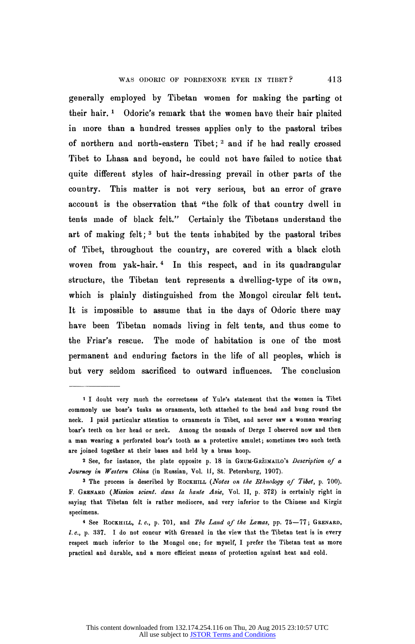**generally employed by Tibetan women for making the parting ot their hair. 1 Odoric's remark that the women have their hair plaited in inore than a hundred tresses applies only to the pastoral tribes of northern and north-eastern Tibet; 2 and if he had really crossed Tibet to Lhasa and beyond, he could not have failed to notice that quite different styles of hair-dressing prevail in other parts of the country. This matter is not very serious, but an error of grave account is the observation that "the folk of that country dwell in tents made of black felt." Certainly the Tibetans understand the art of making felt; 3 but the tents inhabited by the pastoral tribes of Tibet, throughout the country, are covered with a black cloth woven from yak-hair. 4 In this respect, and in its quadrangular structure, the Tibetan tent represents a dwelling-type of its own,**  which is plainly distinguished from the Mongol circular felt tent. **It is impossible to assume that in the days of Odoric there may**  have been Tibetan nomads living in felt tents, and thus come to **the Friar's rescue. The mode of habitation is one of the most permanent and enduring factors in the life of all peoples, which is but very seldom sacrificed to outward influences. The conclusion** 

**2 See, for instance, the plate opposite p. 18 in GRUM-GRZIMAILO's Description of a Journey in Western China (in Russian, Vol. 11, St. Petersburg, 1907).** 

**I I doubt very much the correctness of Yule's statement that the women ia Tibet**  commonly use boar's tusks as ornaments, both attached to the head and hung round the **neck. I paid particular attention to ornaments in Tibet, and never saw a woman wearing boar's teeth on her head or neck. Among the nomads of Derge I observed now and then a man wearing a perforated boar's tooth as a protective amulet; sometimes two such teeth**  are joined together at their bases and held by a brass hoop.

<sup>&</sup>lt;sup>3</sup> The process is described by ROCKHILL (*Notes on the Ethnology of Tibet*, p. 200). **F. GRENAItD (Mission scient. dans la haute Asie, Vol. 11, p. 372) is certainly right in saying that Tibetan felt is rather mediocre, and very inferior to the Chinese and Kirgiz specimens.** 

**<sup>4</sup>See ROCKHILL, 1. c., p. 701, and The Land of the Lamas, pp. 75-77; GRENARD, 1. c., p. :337. I do not concur with Grenard in the view that the Tibetan tent is in every respect much inferior to the Mongol one; for myself, I prefer the Tibetan tent as more practical and durable, and a more efficient means of protection against heat and cold.**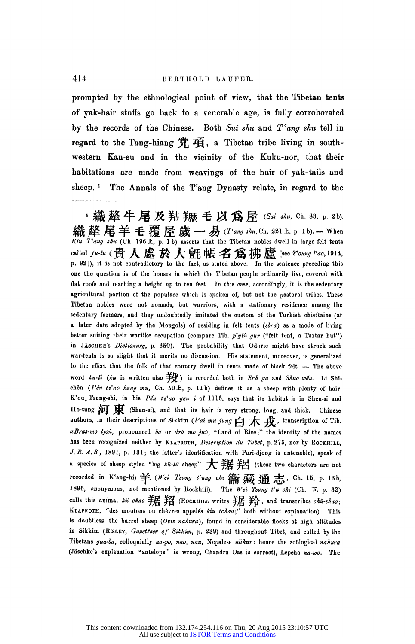**prompted by the ethnological point of view, that the Tibetan tents of yak-hair stuffs go back to a venerable age, is fully corroborated by the records of the Chinese. Both Sui shu and T'ang shu tell in**  regard to the Tang-hiang 赏. 項, a Tibetan tribe living in south**western Kan-su and in the vicinity of the Kuku-nor, that their habitations are made from weavings of the hair of yak-tails and**  sheep.<sup>1</sup> The Annals of the T<sup>c</sup>ang Dynasty relate, in regard to the

**<sup>1</sup>±^ A" ' ? ii A M j A (Sui shu, Ch. 83, p. 2b). a ,U <sup>j</sup> ~ ~ |§ A i - (T'ang shu,Ch. 2211, p lb).- When**  Kiu T'ang shu (Ch. 196 k, p. 1b) asserts that the Tibetan nobles dwell in large felt tents **called fu-lu ( A ) t ; H; Afi t ; jfl [see Toung Pao, 1914, p. 92]), it is not contradictory to the fact, as stated above. In the sentence preceding this one the question is of the houses in which the Tibetan people ordinarily live, covered with flat roofs and reaching a height up to ten feet. In this case, accordingly, it is the sedentary agricultural portion of the populace which is spoken of, but not the pastoral tribes. These Tibetan nobles were not nomads, but warriors, with a stationary residence among the sedentary farmers, and they undoubtedly imitated the custom of the Turkish chieftains (at a later date adopted by the Mongols) of residing in felt tents (sbra) as a mode of living**  better suiting their warlike occupation (compare Tib. p'yin gur ("felt tent, a Tartar hut") **in JAScHKE's Dictionary, p. 350). The probability that Odoric might have struck such war-tents is so slight that it merits no discussion. His statement, moreover, is generalized**  to the effect that the folk of that country dwell in tents made of black felt. - The above word  $ku\text{-}li$  ( $ku$  is written also  $\sharp \mathcal{H}$ ) is recorded both in Erh ya and Shuo wen. Li Shichên (Pén ts'ao kang mu, Ch. 50 L, p. 11b) defines it as a sheep with plenty of hair. K'ou Tsung-shi, in his Pén ts'ao yen i of 1116, says that its habitat is in Shen-si and Ho-tung 河 東 (Shan-si), and that its hair is very strong, long, and thick. Chinese authors, in their descriptions of Sikkim (Pai mu jung  $\Box$   $\pi$   $\mathbb{R}$ , transcription of Tib. aBras-mo ljon, pronounced bu or dra mo jun, "Land of Rice;" the identity of the names **has been recognized neither by KLAPROTH, Description du Tubet, p. 275, nor by ROCKHILL, J. R. A. S, 1891, p. 131; the latter's identification with Pari-djong is untenable), speak of**  a species of sheep styled "big ku-lu sheep"  $\bigstar$  第 / (these two characters are not **recorded in K'ang-hi)**  $\neq$  (Wei Trang t'ung chi 衛 魔 通志, Ch. 15, p. 13b, **1896, anonymous, not mentioned by Rockhill). The Wei Tsang t'u chi (Ch. T, p. 32)**  calls this animal kü chao 郑 郑 (ROCKHILL writes 郑 羚, and transcribes chü-shao; KLAPROTH, "des moutons ou chèvres appelés kiu tchao;" both without explanation). This is doubtless the burrel sheep (Ovis nahura), found in considerable flocks at high altitudes **in Sikkim (RISLEY, Gazetteer of Sikkim, p. 239) and throughout Tibet, and called by the**  Tibetans gna-ba, colloquially na-po, nao, nau, Nepalese nahur: hence the zoological nahura **(Jaschke's explanation "antelope" is wrong, Chandra Das is correct), Lepcha na-wo. The**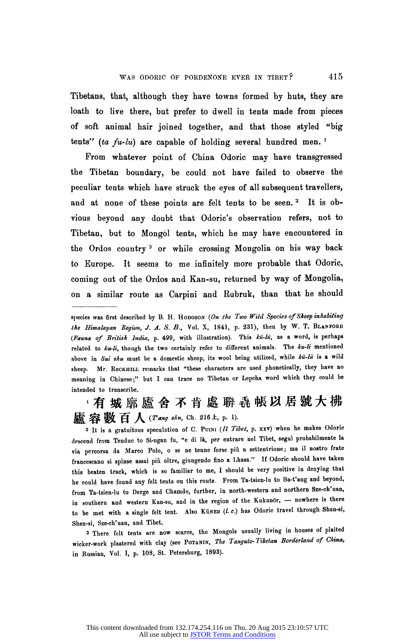**Tibetans, that, although they have towns formed by huts, they are loath to live there, but prefer to dwell in tents made from pieces of soft animal hair joined together, and that those styled "big**  tents" (ta *fu-lu*) are capable of holding several hundred men.<sup>1</sup>

**From whatever point of China Odoric may have transgressed the Tibetan boundary, be could not have failed to observe the peculiar tents which have struck the eyes of all subsequent travellers,**  and at none of these points are felt tents to be seen.<sup>2</sup> It is ob**vious beyond any doubt that Odoric's observation refers, not to Tibetan, but to Mongol tents, which he may have encountered in the Ordos country 3 or while crossing Mongolia on his way back to Europe. It seems to me infinitely more probable that Odoric, coming out of the Ordos and Kan-su, returned by way of Mongolia, on a similar route as Carpini and Rubruk, than that he should** 

**species was first described by B. H. HODGSON (On the Two Wild Species of Sheep inhabiting**  the Himalayan Region, J. A. S. B., Vol. X, 1841, p. 231), then by W. T. BLANFORD (Fauna of British India, p. 499, with illustration). This kü-lü, as a word, is perhaps related to  $ku\text{-}li$ , though the two certainly refer to different animals. The  $ku\text{-}li$  mentioned above in Sui shu must be a domestic sheep, its wool being utilized, while kü-lü is a wild **sheep. Mr. ROCKHILL reinarks that "these characters are used phonetically, thev have no meaning in Chinese;" but I can trace no Tibetan or Lepcha word which they could be intended to transcribe.** 

有 城 廓 廬 舍 不 肯 處 聨 毳 帳 以 居 # **<sup>E</sup>;@ jj ,k k r(rang sAu, Ch. 2161, p. 1).** 

**<sup>2</sup>It is a gratuitous speculation of C. PUINI ([B Tibet, p. xxv) when he makes Odoric**  descend from Tenduc to Si-ngan fu, "e di là, per entrare nel Tibet, seguì probabilmente la **via percorsa da Marco Polo, o se ne tenne forse pih a settentrione; ma il nostro frate**  francescano si spinse assai più oltre, giungendo fino a Lhasa." If Odoric should have taken **this beaten track, which is so familiar to me, I should be very positive in denying that he could have found any felt tents on this route. From Ta-tsien-lu to Ba-t'ang and beyond, from Ta-tsien-lu to Derge and Chamdo, further, in north-western and northern Sze-ch'uau,**  in southern and western Kan-su, and in the region of the Kukunor, - nowhere is there to be met with a single felt tent. Also KüNER (*l. c.*) has Odoric travel through Shan-si, **Shen-si, Sze-ch'uan, and Tibet.** 

**3 There felt tents are now scarce, the Mongols usually living in houses of plaited wicker-work plastered with clay (see POTANIN, The Tanguto- Tibetan Borderland of China, in Russian, Vol. 1, p. 108, St. Petersburg, 1893).**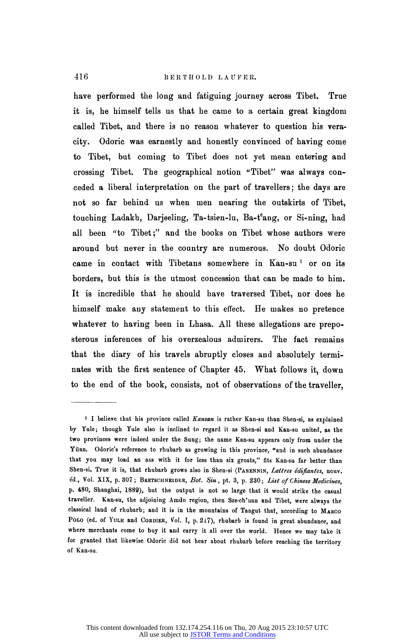**have performed the long and fatiguing journey across Tibet. True it is, he himself tells us that he came to a certain great kingdom called Tibet, and there is no reason whatever to question his veracity. Odoric was earnestly and honestly convinced of having come to Tibet, but coming to Tibet does not yet mean entering and crossing Tibet. The geographical notion "Tibet" was always conceded a liberal interpretation on the part of travellers; the days are not so far behind us when men nearing the outskirts of Tibet, touching Ladakh, Darjeeling, Ta-tsien-lu, Ba-t'ang, or Si-ning, had all been "to Tibet;" and the books on Tibet whose authors were around but never in the country are numerous. No doubt Odoric**  came in contact with Tibetans somewhere in Kan-su<sup>1</sup> or on its **borders, but this is the utmost concession that can be made to him. It is incredible that he should have traversed Tibet, nor does he himself make any statement to this effect. He makes no pretence whatever to having been in Lhasa. All these allegations are preposterous inferences of his overzealous admirers. The fact remains that the diary of his travels abruptly closes and absolutely terminates with the first sentence of Chapter 45. What follows it, down to the end of the book, consists, not of observations of the traveller,** 

**l I believe that his province called Kansan is rather Kan-su than Shen-si, as explained by Yule; though Yule also is inclined to regard it as Shen-si and Kan-su united, as the**  two provinces were indeed under the Sung; the name Kan-su appears only from under the Yüan. Odoric's reference to rhubarb as growing in this province, "and in such abundance **that you may load an ass with it for less than six groats," fits Kan-su far better than**  Shen-si. True it is, that rhubarb grows also in Shen-si (PARENNIN, Lettres édifiantes, nouv. **ed., Vol. XIX, p. 307; BRETSCHNEIDER, Bot. Sin., pt. 3, p. 230; List of Chinese Medicines, p. 480, Shanghai, 1889), but the output is not so large that it would strike the casual traveller. Kan-su, the adjoining Amdo region, then Sze-ch'uan and Tibet, were always the classical land of rhubarb; and it is in the mountains of Tangut that, according to MARCO POLO (ed. of YULE and CORDIER, %ol. I, p. 2L7), rhubarb is found in great abundance, and wbere merchants come to buy it and carry it all over the world. Hence we may take it for granted that likewise Odoric did not hear about rhubarb before reaching the territory of Kan-su.**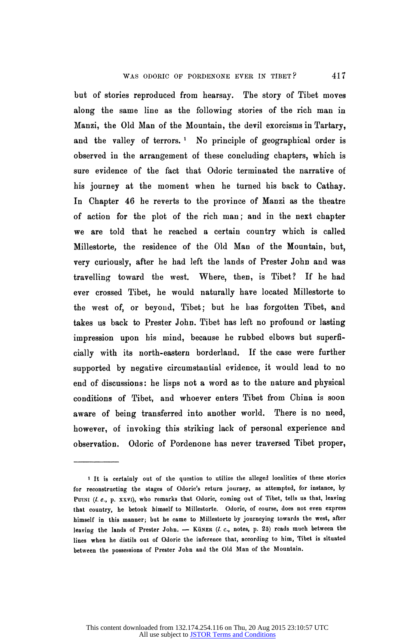**but of stories reproduced from hearsay. The story of Tibet moves along the same line as the following stories of the rich man in Manzi, the Old Man of the Mountain, the devil exorcisms in Tartary, and the valley of terrors. 1 No principle of geographical order is observed in the arrangement of these concluding chapters, which is sure evidence of the fact that Odoric terminated the narrative of**  his journey at the moment when he turned his back to Cathay. **In Chapter 46 he reverts to the province of Manzi as the theatre of action for the plot of the rich man; and in the next chapter we are told that he reached a certain country which is called Millestorte, the residence of the Old Man of the Mountain, but, very curiously, after he had left the lands of Prester John and was travelling toward the west. Where, then, is Tibet? If he bad ever crossed Tibet, he would naturally have located Millestorte to the west of, or beyond, Tibet; but he has forgotten Tibet, and takes us back to Prester John. Tibet has left no profound or lasting impression upon his mind, because he rubbed elbows but superficially with its north-eastern borderland. If the case were further supported by negative circumstantial evidence, it would lead to no end of discussions: he lisps not a word as to the nature and physical conditions of Tibet, and whoever enters Tibet from China is soon aware of being transferred into another world. There is no need, however, of invoking this striking lack of personal experience and observation. Odoric of Pordenone has never traversed Tibet proper,** 

**<sup>1</sup>It is certainly out of the question to utilize the alleged localities of these stories for reconstructing the stages of Odoric's return journey, as attempted, for instance, by**  PUINI (l. c., p. xxvi), who remarks that Odoric, coming out of Tibet, tells us that, leaving **that country, he betook bimself to Millestorte. Odoric, of course, does not even express himself in this manner; but he came to Millestorte by journeying towards the west, after**  leaving the lands of Prester John. - KüNER (l. c., notes, p. 25) reads much between the **lines when he distils out of Odoric the inference that, according to him, Tibet is situated between the possessions of Prester John and the Old Man of the Mountain.**